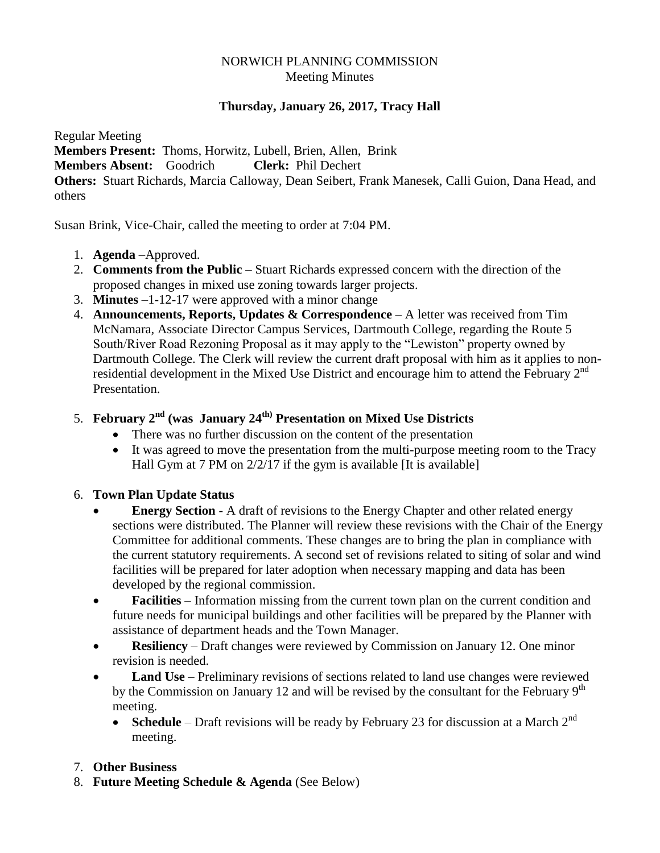#### NORWICH PLANNING COMMISSION Meeting Minutes

### **Thursday, January 26, 2017, Tracy Hall**

Regular Meeting **Members Present:** Thoms, Horwitz, Lubell, Brien, Allen, Brink **Members Absent:** Goodrich **Clerk:** Phil Dechert **Others:** Stuart Richards, Marcia Calloway, Dean Seibert, Frank Manesek, Calli Guion, Dana Head, and others

Susan Brink, Vice-Chair, called the meeting to order at 7:04 PM.

- 1. **Agenda** –Approved.
- 2. **Comments from the Public** Stuart Richards expressed concern with the direction of the proposed changes in mixed use zoning towards larger projects.
- 3. **Minutes** –1-12-17 were approved with a minor change
- 4. **Announcements, Reports, Updates & Correspondence** A letter was received from Tim McNamara, Associate Director Campus Services, Dartmouth College, regarding the Route 5 South/River Road Rezoning Proposal as it may apply to the "Lewiston" property owned by Dartmouth College. The Clerk will review the current draft proposal with him as it applies to nonresidential development in the Mixed Use District and encourage him to attend the February 2<sup>nd</sup> Presentation.
- 5. **February 2nd (was January 24th) Presentation on Mixed Use Districts**
	- There was no further discussion on the content of the presentation
	- It was agreed to move the presentation from the multi-purpose meeting room to the Tracy Hall Gym at 7 PM on  $2/2/17$  if the gym is available [It is available]

#### 6. **Town Plan Update Status**

- **Energy Section** A draft of revisions to the Energy Chapter and other related energy sections were distributed. The Planner will review these revisions with the Chair of the Energy Committee for additional comments. These changes are to bring the plan in compliance with the current statutory requirements. A second set of revisions related to siting of solar and wind facilities will be prepared for later adoption when necessary mapping and data has been developed by the regional commission.
- **Facilities** Information missing from the current town plan on the current condition and future needs for municipal buildings and other facilities will be prepared by the Planner with assistance of department heads and the Town Manager.
- **Resiliency**  Draft changes were reviewed by Commission on January 12. One minor revision is needed.
- **Land Use** Preliminary revisions of sections related to land use changes were reviewed by the Commission on January 12 and will be revised by the consultant for the February  $9<sup>th</sup>$ meeting.
	- **Schedule** Draft revisions will be ready by February 23 for discussion at a March  $2^{nd}$ meeting.

#### 7. **Other Business**

8. **Future Meeting Schedule & Agenda** (See Below)